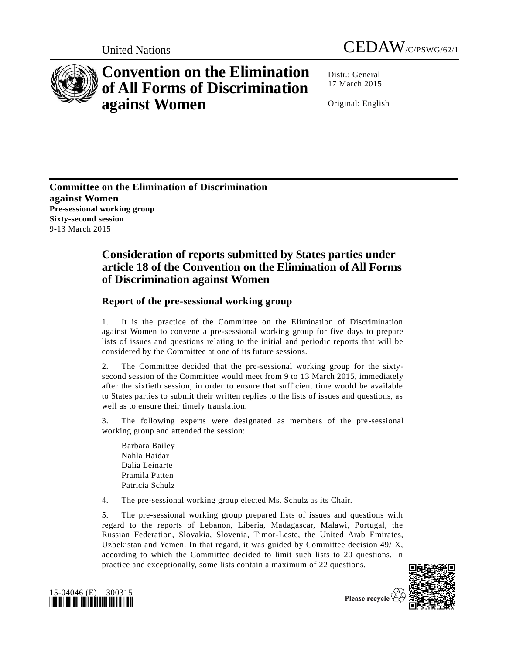



## **Convention on the Elimination of All Forms of Discrimination against Women**

Distr.: General 17 March 2015

Original: English

**Committee on the Elimination of Discrimination against Women Pre-sessional working group Sixty-second session** 9-13 March 2015

## **Consideration of reports submitted by States parties under article 18 of the Convention on the Elimination of All Forms of Discrimination against Women**

## **Report of the pre-sessional working group**

1. It is the practice of the Committee on the Elimination of Discrimination against Women to convene a pre-sessional working group for five days to prepare lists of issues and questions relating to the initial and periodic reports that will be considered by the Committee at one of its future sessions.

2. The Committee decided that the pre-sessional working group for the sixtysecond session of the Committee would meet from 9 to 13 March 2015, immediately after the sixtieth session, in order to ensure that sufficient time would be available to States parties to submit their written replies to the lists of issues and questions, as well as to ensure their timely translation.

3. The following experts were designated as members of the pre-sessional working group and attended the session:

Barbara Bailey Nahla Haidar Dalia Leinarte Pramila Patten Patricia Schulz

4. The pre-sessional working group elected Ms. Schulz as its Chair.

5. The pre-sessional working group prepared lists of issues and questions with regard to the reports of Lebanon, Liberia, Madagascar, Malawi, Portugal, the Russian Federation, Slovakia, Slovenia, Timor-Leste, the United Arab Emirates, Uzbekistan and Yemen. In that regard, it was guided by Committee decision 49/IX, according to which the Committee decided to limit such lists to 20 questions. In practice and exceptionally, some lists contain a maximum of 22 questions.



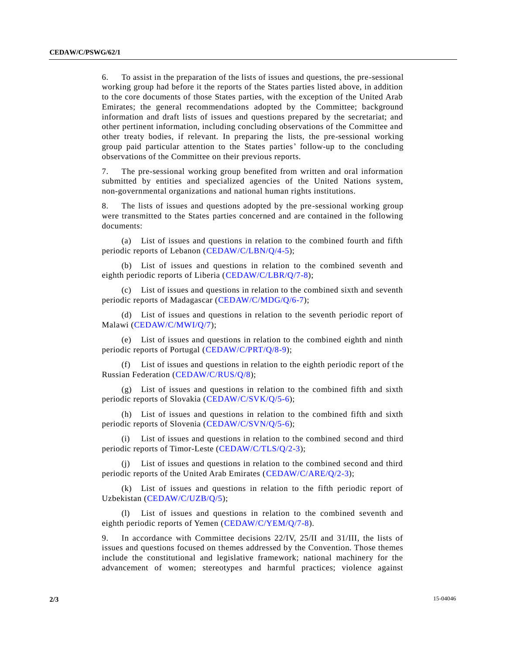6. To assist in the preparation of the lists of issues and questions, the pre-sessional working group had before it the reports of the States parties listed above, in addition to the core documents of those States parties, with the exception of the United Arab Emirates; the general recommendations adopted by the Committee; background information and draft lists of issues and questions prepared by the secretariat; and other pertinent information, including concluding observations of the Committee and other treaty bodies, if relevant. In preparing the lists, the pre-sessional working group paid particular attention to the States parties' follow-up to the concluding observations of the Committee on their previous reports.

7. The pre-sessional working group benefited from written and oral information submitted by entities and specialized agencies of the United Nations system, non-governmental organizations and national human rights institutions.

8. The lists of issues and questions adopted by the pre-sessional working group were transmitted to the States parties concerned and are contained in the following documents:

(a) List of issues and questions in relation to the combined fourth and fifth periodic reports of Lebanon [\(CEDAW/C/LBN/Q/4-5\)](http://undocs.org/CEDAW/C/LBN/Q/4);

(b) List of issues and questions in relation to the combined seventh and eighth periodic reports of Liberia [\(CEDAW/C/LBR/Q/7-8\)](http://undocs.org/CEDAW/C/LBR/Q/7);

(c) List of issues and questions in relation to the combined sixth and seventh periodic reports of Madagascar [\(CEDAW/C/MDG/Q/6-7\)](http://undocs.org/CEDAW/C/MDG/Q/6);

(d) List of issues and questions in relation to the seventh periodic report of Malawi [\(CEDAW/C/MWI/Q/7\)](http://undocs.org/CEDAW/C/MWI/Q/7);

(e) List of issues and questions in relation to the combined eighth and ninth periodic reports of Portugal [\(CEDAW/C/PRT/Q/8-9\)](http://undocs.org/CEDAW/C/PRT/Q/8);

(f) List of issues and questions in relation to the eighth periodic report of t he Russian Federation [\(CEDAW/C/RUS/Q/8\)](http://undocs.org/CEDAW/C/RUS/Q/8);

(g) List of issues and questions in relation to the combined fifth and sixth periodic reports of Slovakia [\(CEDAW/C/SVK/Q/5-6\)](http://undocs.org/CEDAW/C/SVK/Q/5);

(h) List of issues and questions in relation to the combined fifth and sixth periodic reports of Slovenia [\(CEDAW/C/SVN/Q/5-6\)](http://undocs.org/CEDAW/C/SVN/Q/5);

(i) List of issues and questions in relation to the combined second and third periodic reports of Timor-Leste [\(CEDAW/C/TLS/Q/2-3\)](http://undocs.org/CEDAW/C/TLS/Q/2);

List of issues and questions in relation to the combined second and third periodic reports of the United Arab Emirates [\(CEDAW/C/ARE/Q/2-3\)](http://undocs.org/CEDAW/C/ARE/Q/2);

(k) List of issues and questions in relation to the fifth periodic report of Uzbekistan [\(CEDAW/C/UZB/Q/5\)](http://undocs.org/CEDAW/C/UZB/Q/5);

(l) List of issues and questions in relation to the combined seventh and eighth periodic reports of Yemen [\(CEDAW/C/YEM/Q/7-8\)](http://undocs.org/CEDAW/C/YEM/Q/7).

9. In accordance with Committee decisions 22/IV, 25/II and 31/III, the lists of issues and questions focused on themes addressed by the Convention. Those themes include the constitutional and legislative framework; national machinery for the advancement of women; stereotypes and harmful practices; violence against